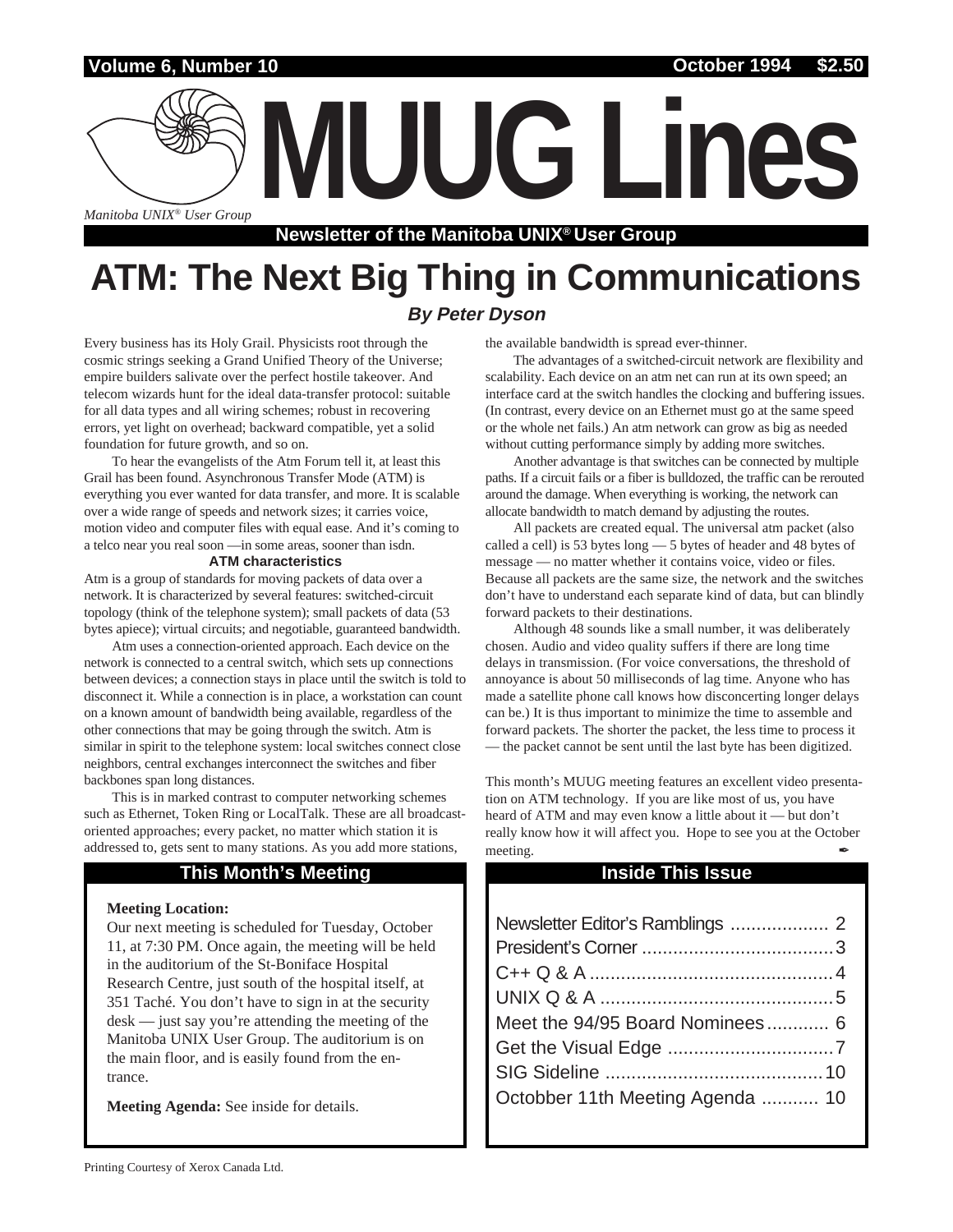## **Volume 6, Number 10**

*Manitoba UNIX® User Group*

**Newsletter of the Manitoba UNIX® User Group**

## **ATM: The Next Big Thing in Communications By Peter Dyson**

Every business has its Holy Grail. Physicists root through the cosmic strings seeking a Grand Unified Theory of the Universe; empire builders salivate over the perfect hostile takeover. And telecom wizards hunt for the ideal data-transfer protocol: suitable for all data types and all wiring schemes; robust in recovering errors, yet light on overhead; backward compatible, yet a solid foundation for future growth, and so on.

To hear the evangelists of the Atm Forum tell it, at least this Grail has been found. Asynchronous Transfer Mode (ATM) is everything you ever wanted for data transfer, and more. It is scalable over a wide range of speeds and network sizes; it carries voice, motion video and computer files with equal ease. And it's coming to a telco near you real soon —in some areas, sooner than isdn.

#### **ATM characteristics**

Atm is a group of standards for moving packets of data over a network. It is characterized by several features: switched-circuit topology (think of the telephone system); small packets of data (53 bytes apiece); virtual circuits; and negotiable, guaranteed bandwidth.

Atm uses a connection-oriented approach. Each device on the network is connected to a central switch, which sets up connections between devices; a connection stays in place until the switch is told to disconnect it. While a connection is in place, a workstation can count on a known amount of bandwidth being available, regardless of the other connections that may be going through the switch. Atm is similar in spirit to the telephone system: local switches connect close neighbors, central exchanges interconnect the switches and fiber backbones span long distances.

This is in marked contrast to computer networking schemes such as Ethernet, Token Ring or LocalTalk. These are all broadcastoriented approaches; every packet, no matter which station it is addressed to, gets sent to many stations. As you add more stations,

#### **This Month's Meeting Inside This Issue**

#### **Meeting Location:**

Our next meeting is scheduled for Tuesday, October 11, at 7:30 PM. Once again, the meeting will be held in the auditorium of the St-Boniface Hospital Research Centre, just south of the hospital itself, at 351 Taché. You don't have to sign in at the security desk — just say you're attending the meeting of the Manitoba UNIX User Group. The auditorium is on the main floor, and is easily found from the entrance.

**Meeting Agenda:** See inside for details.

the available bandwidth is spread ever-thinner.

**MUUG Lines**

The advantages of a switched-circuit network are flexibility and scalability. Each device on an atm net can run at its own speed; an interface card at the switch handles the clocking and buffering issues. (In contrast, every device on an Ethernet must go at the same speed or the whole net fails.) An atm network can grow as big as needed without cutting performance simply by adding more switches.

Another advantage is that switches can be connected by multiple paths. If a circuit fails or a fiber is bulldozed, the traffic can be rerouted around the damage. When everything is working, the network can allocate bandwidth to match demand by adjusting the routes.

All packets are created equal. The universal atm packet (also called a cell) is 53 bytes long — 5 bytes of header and 48 bytes of message — no matter whether it contains voice, video or files. Because all packets are the same size, the network and the switches don't have to understand each separate kind of data, but can blindly forward packets to their destinations.

Although 48 sounds like a small number, it was deliberately chosen. Audio and video quality suffers if there are long time delays in transmission. (For voice conversations, the threshold of annoyance is about 50 milliseconds of lag time. Anyone who has made a satellite phone call knows how disconcerting longer delays can be.) It is thus important to minimize the time to assemble and forward packets. The shorter the packet, the less time to process it — the packet cannot be sent until the last byte has been digitized.

This month's MUUG meeting features an excellent video presentation on ATM technology. If you are like most of us, you have heard of ATM and may even know a little about it — but don't really know how it will affect you. Hope to see you at the October meeting.

| Meet the 94/95 Board Nominees 6  |
|----------------------------------|
|                                  |
|                                  |
| Octobber 11th Meeting Agenda  10 |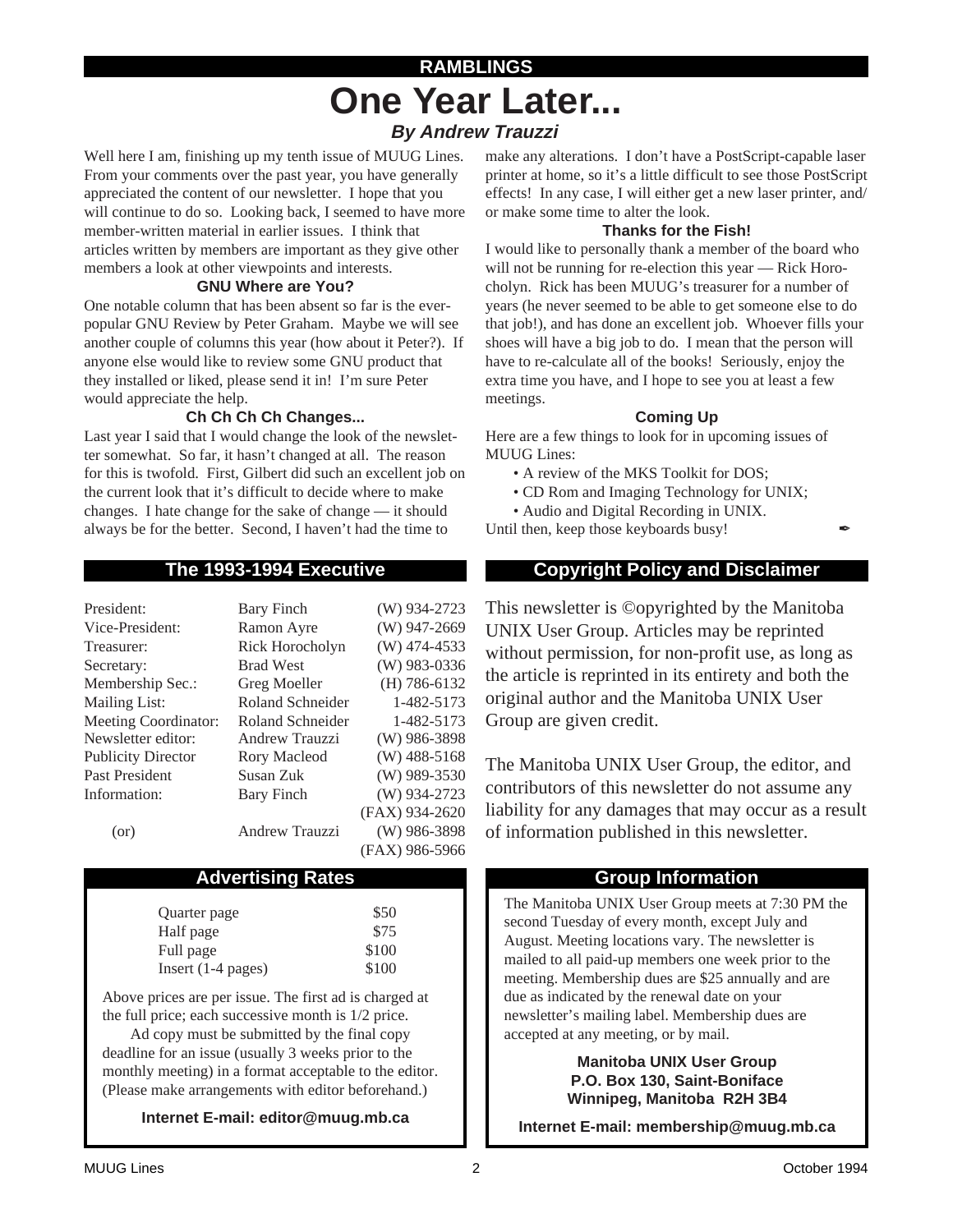## **RAMBLINGS One Year Later... By Andrew Trauzzi**

Well here I am, finishing up my tenth issue of MUUG Lines. From your comments over the past year, you have generally appreciated the content of our newsletter. I hope that you will continue to do so. Looking back, I seemed to have more member-written material in earlier issues. I think that articles written by members are important as they give other members a look at other viewpoints and interests.

### **GNU Where are You?**

One notable column that has been absent so far is the everpopular GNU Review by Peter Graham. Maybe we will see another couple of columns this year (how about it Peter?). If anyone else would like to review some GNU product that they installed or liked, please send it in! I'm sure Peter would appreciate the help.

## **Ch Ch Ch Ch Changes...**

Last year I said that I would change the look of the newsletter somewhat. So far, it hasn't changed at all. The reason for this is twofold. First, Gilbert did such an excellent job on the current look that it's difficult to decide where to make changes. I hate change for the sake of change — it should always be for the better. Second, I haven't had the time to

| <b>Bary Finch</b>     | (W) 934-2723   |
|-----------------------|----------------|
| Ramon Ayre            | (W) 947-2669   |
| Rick Horocholyn       | $(W)$ 474-4533 |
| <b>Brad West</b>      | $(W)$ 983-0336 |
| Greg Moeller          | $(H)$ 786-6132 |
| Roland Schneider      | 1-482-5173     |
| Roland Schneider      | 1-482-5173     |
| Andrew Trauzzi        | $(W)$ 986-3898 |
| Rory Macleod          | $(W)$ 488-5168 |
| Susan Zuk             | (W) 989-3530   |
| Bary Finch            | (W) 934-2723   |
|                       | (FAX) 934-2620 |
| <b>Andrew Trauzzi</b> | (W) 986-3898   |
|                       | (FAX) 986-5966 |
|                       |                |

## Advertising Rates **Group Information**

| Quarter page         | \$50  |
|----------------------|-------|
| Half page            | \$75  |
| Full page            | \$100 |
| Insert $(1-4$ pages) | \$100 |

Above prices are per issue. The first ad is charged at the full price; each successive month is 1/2 price.

Ad copy must be submitted by the final copy deadline for an issue (usually 3 weeks prior to the monthly meeting) in a format acceptable to the editor. (Please make arrangements with editor beforehand.)

**Internet E-mail: editor@muug.mb.ca**

make any alterations. I don't have a PostScript-capable laser printer at home, so it's a little difficult to see those PostScript effects! In any case, I will either get a new laser printer, and/ or make some time to alter the look.

### **Thanks for the Fish!**

I would like to personally thank a member of the board who will not be running for re-election this year — Rick Horocholyn. Rick has been MUUG's treasurer for a number of years (he never seemed to be able to get someone else to do that job!), and has done an excellent job. Whoever fills your shoes will have a big job to do. I mean that the person will have to re-calculate all of the books! Seriously, enjoy the extra time you have, and I hope to see you at least a few meetings.

### **Coming Up**

Here are a few things to look for in upcoming issues of MUUG Lines:

- A review of the MKS Toolkit for DOS;
- CD Rom and Imaging Technology for UNIX;
- Audio and Digital Recording in UNIX.

Until then, keep those keyboards busy!

## **The 1993-1994 Executive Copyright Policy and Disclaimer**

This newsletter is ©opyrighted by the Manitoba UNIX User Group. Articles may be reprinted without permission, for non-profit use, as long as the article is reprinted in its entirety and both the original author and the Manitoba UNIX User Group are given credit.

The Manitoba UNIX User Group, the editor, and contributors of this newsletter do not assume any liability for any damages that may occur as a result of information published in this newsletter.

The Manitoba UNIX User Group meets at 7:30 PM the second Tuesday of every month, except July and August. Meeting locations vary. The newsletter is mailed to all paid-up members one week prior to the meeting. Membership dues are \$25 annually and are due as indicated by the renewal date on your newsletter's mailing label. Membership dues are accepted at any meeting, or by mail.

> **Manitoba UNIX User Group P.O. Box 130, Saint-Boniface Winnipeg, Manitoba R2H 3B4**

**Internet E-mail: membership@muug.mb.ca**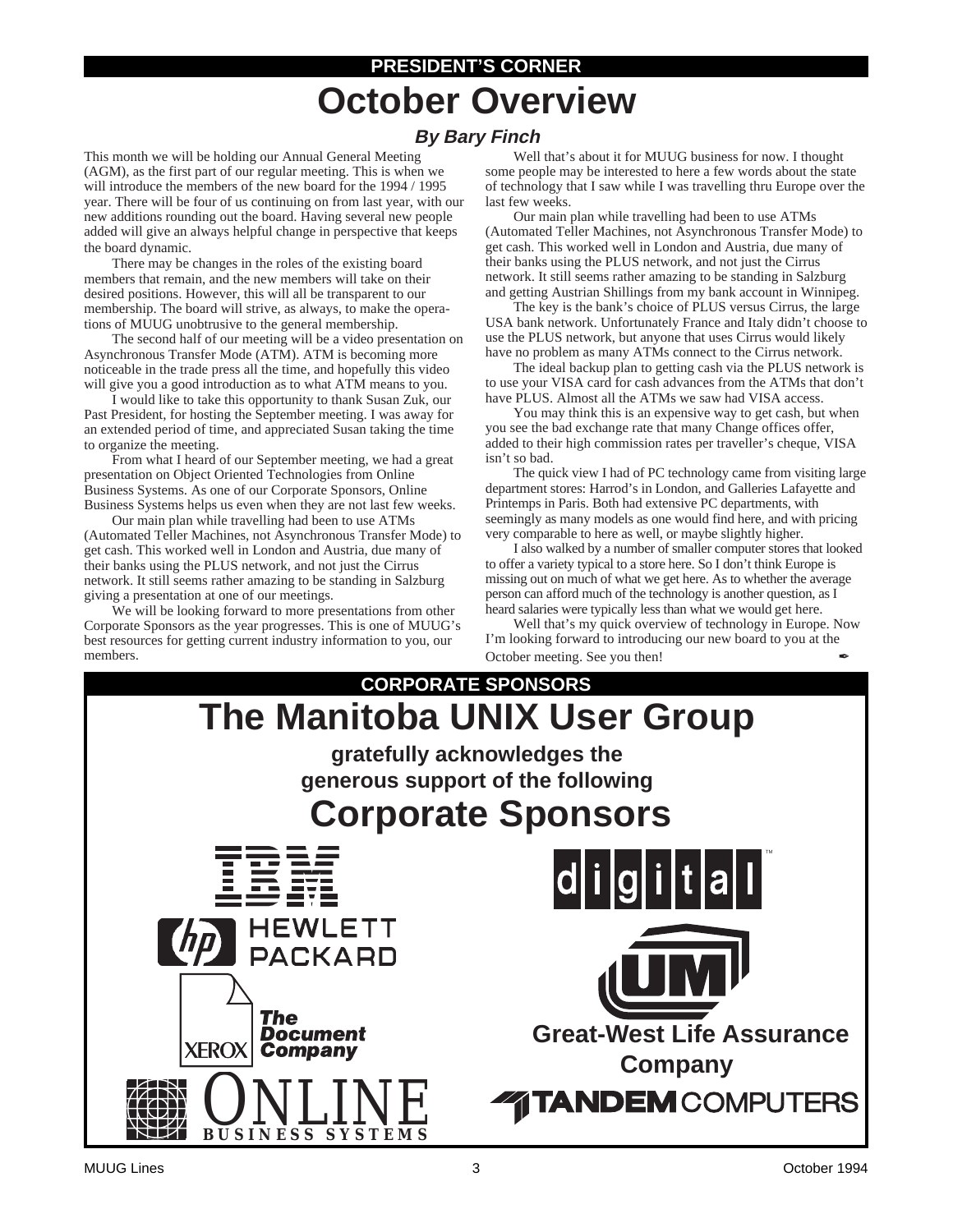# **PRESIDENT'S CORNER October Overview**

## **By Bary Finch**

This month we will be holding our Annual General Meeting (AGM), as the first part of our regular meeting. This is when we will introduce the members of the new board for the 1994 / 1995 year. There will be four of us continuing on from last year, with our new additions rounding out the board. Having several new people added will give an always helpful change in perspective that keeps the board dynamic.

There may be changes in the roles of the existing board members that remain, and the new members will take on their desired positions. However, this will all be transparent to our membership. The board will strive, as always, to make the operations of MUUG unobtrusive to the general membership.

The second half of our meeting will be a video presentation on Asynchronous Transfer Mode (ATM). ATM is becoming more noticeable in the trade press all the time, and hopefully this video will give you a good introduction as to what ATM means to you.

I would like to take this opportunity to thank Susan Zuk, our Past President, for hosting the September meeting. I was away for an extended period of time, and appreciated Susan taking the time to organize the meeting.

From what I heard of our September meeting, we had a great presentation on Object Oriented Technologies from Online Business Systems. As one of our Corporate Sponsors, Online Business Systems helps us even when they are not last few weeks.

Our main plan while travelling had been to use ATMs (Automated Teller Machines, not Asynchronous Transfer Mode) to get cash. This worked well in London and Austria, due many of their banks using the PLUS network, and not just the Cirrus network. It still seems rather amazing to be standing in Salzburg giving a presentation at one of our meetings.

We will be looking forward to more presentations from other Corporate Sponsors as the year progresses. This is one of MUUG's best resources for getting current industry information to you, our members. October meeting. See you then!

Well that's about it for MUUG business for now. I thought some people may be interested to here a few words about the state of technology that I saw while I was travelling thru Europe over the last few weeks.

Our main plan while travelling had been to use ATMs (Automated Teller Machines, not Asynchronous Transfer Mode) to get cash. This worked well in London and Austria, due many of their banks using the PLUS network, and not just the Cirrus network. It still seems rather amazing to be standing in Salzburg and getting Austrian Shillings from my bank account in Winnipeg.

The key is the bank's choice of PLUS versus Cirrus, the large USA bank network. Unfortunately France and Italy didn't choose to use the PLUS network, but anyone that uses Cirrus would likely have no problem as many ATMs connect to the Cirrus network.

The ideal backup plan to getting cash via the PLUS network is to use your VISA card for cash advances from the ATMs that don't have PLUS. Almost all the ATMs we saw had VISA access.

You may think this is an expensive way to get cash, but when you see the bad exchange rate that many Change offices offer, added to their high commission rates per traveller's cheque, VISA isn't so bad.

The quick view I had of PC technology came from visiting large department stores: Harrod's in London, and Galleries Lafayette and Printemps in Paris. Both had extensive PC departments, with seemingly as many models as one would find here, and with pricing very comparable to here as well, or maybe slightly higher.

I also walked by a number of smaller computer stores that looked to offer a variety typical to a store here. So I don't think Europe is missing out on much of what we get here. As to whether the average person can afford much of the technology is another question, as I heard salaries were typically less than what we would get here.

Well that's my quick overview of technology in Europe. Now I'm looking forward to introducing our new board to you at the

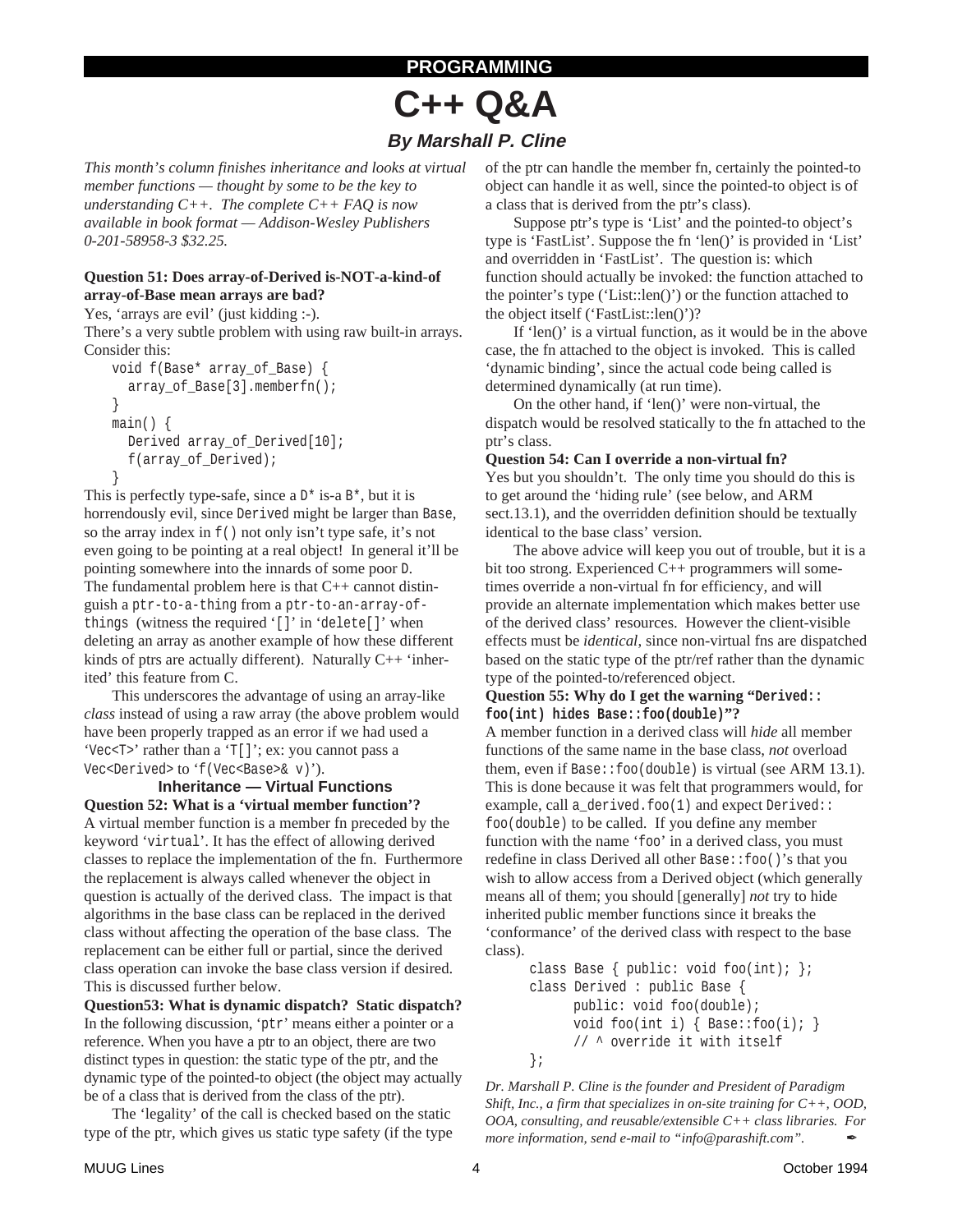## **PROGRAMMING**

# **C++ Q&A**

## **By Marshall P. Cline**

*This month's column finishes inheritance and looks at virtual member functions — thought by some to be the key to understanding C++. The complete C++ FAQ is now available in book format — Addison-Wesley Publishers 0-201-58958-3 \$32.25.*

### **Question 51: Does array-of-Derived is-NOT-a-kind-of array-of-Base mean arrays are bad?**

Yes, 'arrays are evil' (just kidding :-).

There's a very subtle problem with using raw built-in arrays. Consider this:

```
void f(Base* array_of_Base) {
  array_of_Base[3].memberfn();
}
main() {
  Derived array_of_Derived[10];
  f(array_of_Derived);
}
```
This is perfectly type-safe, since a  $D^*$  is-a  $B^*$ , but it is horrendously evil, since Derived might be larger than Base, so the array index in f() not only isn't type safe, it's not even going to be pointing at a real object! In general it'll be pointing somewhere into the innards of some poor D. The fundamental problem here is that C++ cannot distinguish a ptr-to-a-thing from a ptr-to-an-array-ofthings (witness the required '[]' in 'delete[]' when deleting an array as another example of how these different kinds of ptrs are actually different). Naturally C++ 'inherited' this feature from C.

This underscores the advantage of using an array-like *class* instead of using a raw array (the above problem would have been properly trapped as an error if we had used a 'Vec<T>' rather than a 'T[]'; ex: you cannot pass a Vec<Derived> to 'f(Vec<Base>& v)').

**Inheritance — Virtual Functions Question 52: What is a 'virtual member function'?** A virtual member function is a member fn preceded by the keyword 'virtual'. It has the effect of allowing derived classes to replace the implementation of the fn. Furthermore the replacement is always called whenever the object in question is actually of the derived class. The impact is that algorithms in the base class can be replaced in the derived class without affecting the operation of the base class. The replacement can be either full or partial, since the derived class operation can invoke the base class version if desired. This is discussed further below.

**Question53: What is dynamic dispatch? Static dispatch?** In the following discussion, 'ptr' means either a pointer or a reference. When you have a ptr to an object, there are two distinct types in question: the static type of the ptr, and the dynamic type of the pointed-to object (the object may actually be of a class that is derived from the class of the ptr).

The 'legality' of the call is checked based on the static type of the ptr, which gives us static type safety (if the type of the ptr can handle the member fn, certainly the pointed-to object can handle it as well, since the pointed-to object is of a class that is derived from the ptr's class).

Suppose ptr's type is 'List' and the pointed-to object's type is 'FastList'. Suppose the fn 'len()' is provided in 'List' and overridden in 'FastList'. The question is: which function should actually be invoked: the function attached to the pointer's type ('List::len()') or the function attached to the object itself ('FastList::len()')?

If 'len()' is a virtual function, as it would be in the above case, the fn attached to the object is invoked. This is called 'dynamic binding', since the actual code being called is determined dynamically (at run time).

On the other hand, if 'len()' were non-virtual, the dispatch would be resolved statically to the fn attached to the ptr's class.

### **Question 54: Can I override a non-virtual fn?**

Yes but you shouldn't. The only time you should do this is to get around the 'hiding rule' (see below, and ARM sect.13.1), and the overridden definition should be textually identical to the base class' version.

The above advice will keep you out of trouble, but it is a bit too strong. Experienced C++ programmers will sometimes override a non-virtual fn for efficiency, and will provide an alternate implementation which makes better use of the derived class' resources. However the client-visible effects must be *identical*, since non-virtual fns are dispatched based on the static type of the ptr/ref rather than the dynamic type of the pointed-to/referenced object.

#### **Question 55: Why do I get the warning "Derived:: foo(int) hides Base::foo(double)"?**

A member function in a derived class will *hide* all member functions of the same name in the base class, *not* overload them, even if Base::foo(double) is virtual (see ARM 13.1). This is done because it was felt that programmers would, for example, call a\_derived.foo(1) and expect Derived:: foo(double) to be called. If you define any member function with the name 'foo' in a derived class, you must redefine in class Derived all other Base::foo()'s that you wish to allow access from a Derived object (which generally means all of them; you should [generally] *not* try to hide inherited public member functions since it breaks the 'conformance' of the derived class with respect to the base class).

```
class Base { public: void foo(int); };
class Derived : public Base {
     public: void foo(double);
     void foo(int i) { Base::foo(i): }
      // ^ override it with itself
};
```
*Dr. Marshall P. Cline is the founder and President of Paradigm Shift, Inc., a firm that specializes in on-site training for C++, OOD, OOA, consulting, and reusable/extensible C++ class libraries. For more information, send e-mail to "info@parashift.com".*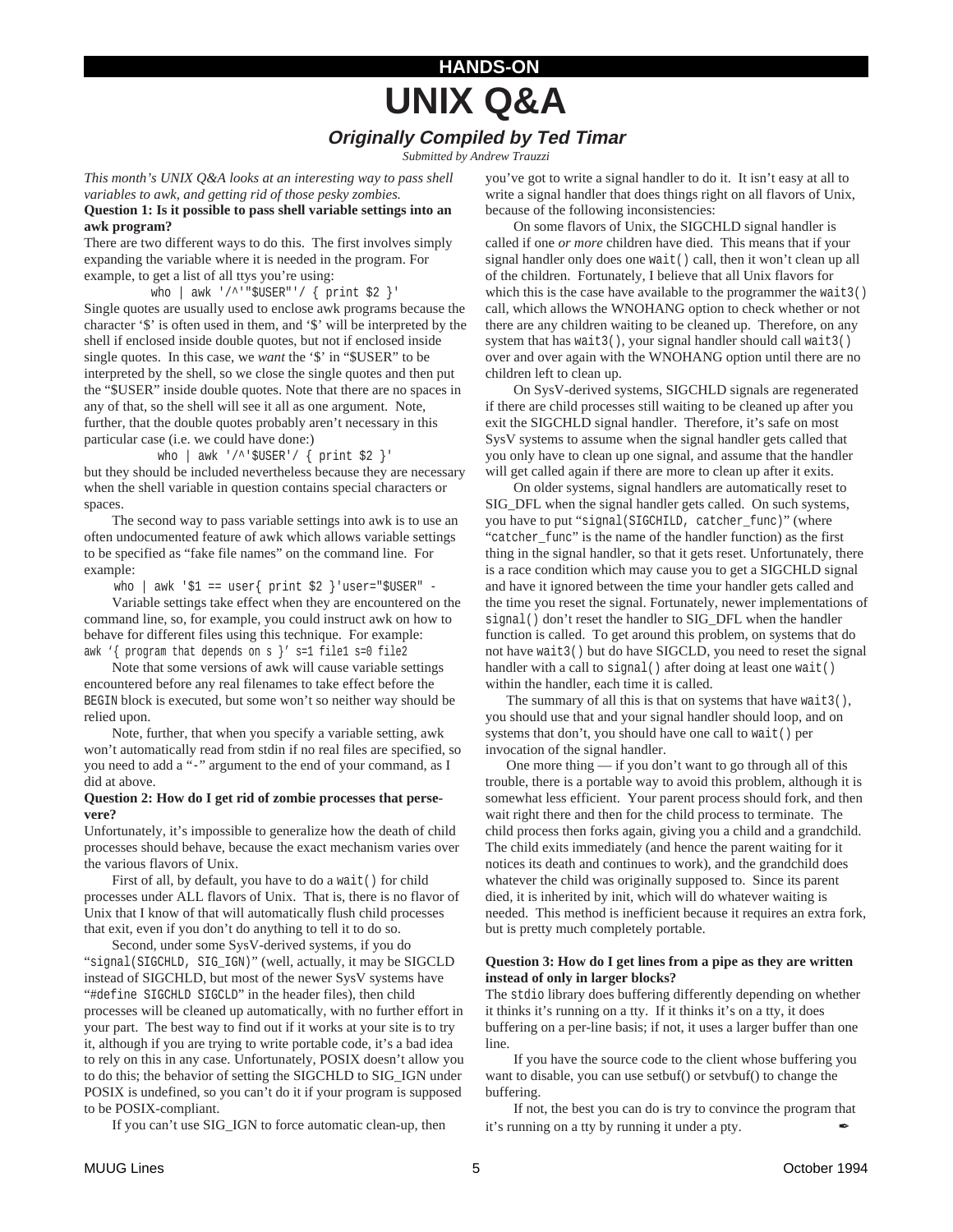## **HANDS-ON UNIX Q&A Originally Compiled by Ted Timar**

*Submitted by Andrew Trauzzi*

*This month's UNIX Q&A looks at an interesting way to pass shell variables to awk, and getting rid of those pesky zombies.*

#### **Question 1: Is it possible to pass shell variable settings into an awk program?**

There are two different ways to do this. The first involves simply expanding the variable where it is needed in the program. For example, to get a list of all ttys you're using:

who | awk '/^'"\$USER"'/ { print \$2 }'

Single quotes are usually used to enclose awk programs because the character '\$' is often used in them, and '\$' will be interpreted by the shell if enclosed inside double quotes, but not if enclosed inside single quotes. In this case, we *want* the '\$' in "\$USER" to be interpreted by the shell, so we close the single quotes and then put the "\$USER" inside double quotes. Note that there are no spaces in any of that, so the shell will see it all as one argument. Note, further, that the double quotes probably aren't necessary in this particular case (i.e. we could have done:)

who | awk '/^'\$USER'/ { print \$2 }' but they should be included nevertheless because they are necessary when the shell variable in question contains special characters or spaces.

The second way to pass variable settings into awk is to use an often undocumented feature of awk which allows variable settings to be specified as "fake file names" on the command line. For example:

who | awk '\$1 == user{ print \$2 } 'user="\$USER" -

Variable settings take effect when they are encountered on the command line, so, for example, you could instruct awk on how to behave for different files using this technique. For example: awk '{ program that depends on s }' s=1 file1 s=0 file2

Note that some versions of awk will cause variable settings encountered before any real filenames to take effect before the BEGIN block is executed, but some won't so neither way should be relied upon.

Note, further, that when you specify a variable setting, awk won't automatically read from stdin if no real files are specified, so you need to add a "-" argument to the end of your command, as I did at above.

#### **Question 2: How do I get rid of zombie processes that persevere?**

Unfortunately, it's impossible to generalize how the death of child processes should behave, because the exact mechanism varies over the various flavors of Unix.

First of all, by default, you have to do a wait () for child processes under ALL flavors of Unix. That is, there is no flavor of Unix that I know of that will automatically flush child processes that exit, even if you don't do anything to tell it to do so.

Second, under some SysV-derived systems, if you do "signal(SIGCHLD, SIG\_IGN)" (well, actually, it may be SIGCLD instead of SIGCHLD, but most of the newer SysV systems have "#define SIGCHLD SIGCLD" in the header files), then child processes will be cleaned up automatically, with no further effort in your part. The best way to find out if it works at your site is to try it, although if you are trying to write portable code, it's a bad idea to rely on this in any case. Unfortunately, POSIX doesn't allow you to do this; the behavior of setting the SIGCHLD to SIG\_IGN under POSIX is undefined, so you can't do it if your program is supposed to be POSIX-compliant.

If you can't use SIG\_IGN to force automatic clean-up, then

you've got to write a signal handler to do it. It isn't easy at all to write a signal handler that does things right on all flavors of Unix, because of the following inconsistencies:

On some flavors of Unix, the SIGCHLD signal handler is called if one *or more* children have died. This means that if your signal handler only does one wait() call, then it won't clean up all of the children. Fortunately, I believe that all Unix flavors for which this is the case have available to the programmer the wait 3() call, which allows the WNOHANG option to check whether or not there are any children waiting to be cleaned up. Therefore, on any system that has wait3(), your signal handler should call wait3() over and over again with the WNOHANG option until there are no children left to clean up.

On SysV-derived systems, SIGCHLD signals are regenerated if there are child processes still waiting to be cleaned up after you exit the SIGCHLD signal handler. Therefore, it's safe on most SysV systems to assume when the signal handler gets called that you only have to clean up one signal, and assume that the handler will get called again if there are more to clean up after it exits.

On older systems, signal handlers are automatically reset to SIG\_DFL when the signal handler gets called. On such systems, you have to put "signal(SIGCHILD, catcher\_func)" (where "catcher func" is the name of the handler function) as the first thing in the signal handler, so that it gets reset. Unfortunately, there is a race condition which may cause you to get a SIGCHLD signal and have it ignored between the time your handler gets called and the time you reset the signal. Fortunately, newer implementations of signal() don't reset the handler to SIG\_DFL when the handler function is called. To get around this problem, on systems that do not have wait3() but do have SIGCLD, you need to reset the signal handler with a call to signal() after doing at least one wait() within the handler, each time it is called.

The summary of all this is that on systems that have wait3(), you should use that and your signal handler should loop, and on systems that don't, you should have one call to wait() per invocation of the signal handler.

 One more thing — if you don't want to go through all of this trouble, there is a portable way to avoid this problem, although it is somewhat less efficient. Your parent process should fork, and then wait right there and then for the child process to terminate. The child process then forks again, giving you a child and a grandchild. The child exits immediately (and hence the parent waiting for it notices its death and continues to work), and the grandchild does whatever the child was originally supposed to. Since its parent died, it is inherited by init, which will do whatever waiting is needed. This method is inefficient because it requires an extra fork, but is pretty much completely portable.

#### **Question 3: How do I get lines from a pipe as they are written instead of only in larger blocks?**

The stdio library does buffering differently depending on whether it thinks it's running on a tty. If it thinks it's on a tty, it does buffering on a per-line basis; if not, it uses a larger buffer than one line.

If you have the source code to the client whose buffering you want to disable, you can use setbuf() or setvbuf() to change the buffering.

If not, the best you can do is try to convince the program that it's running on a tty by running it under a pty.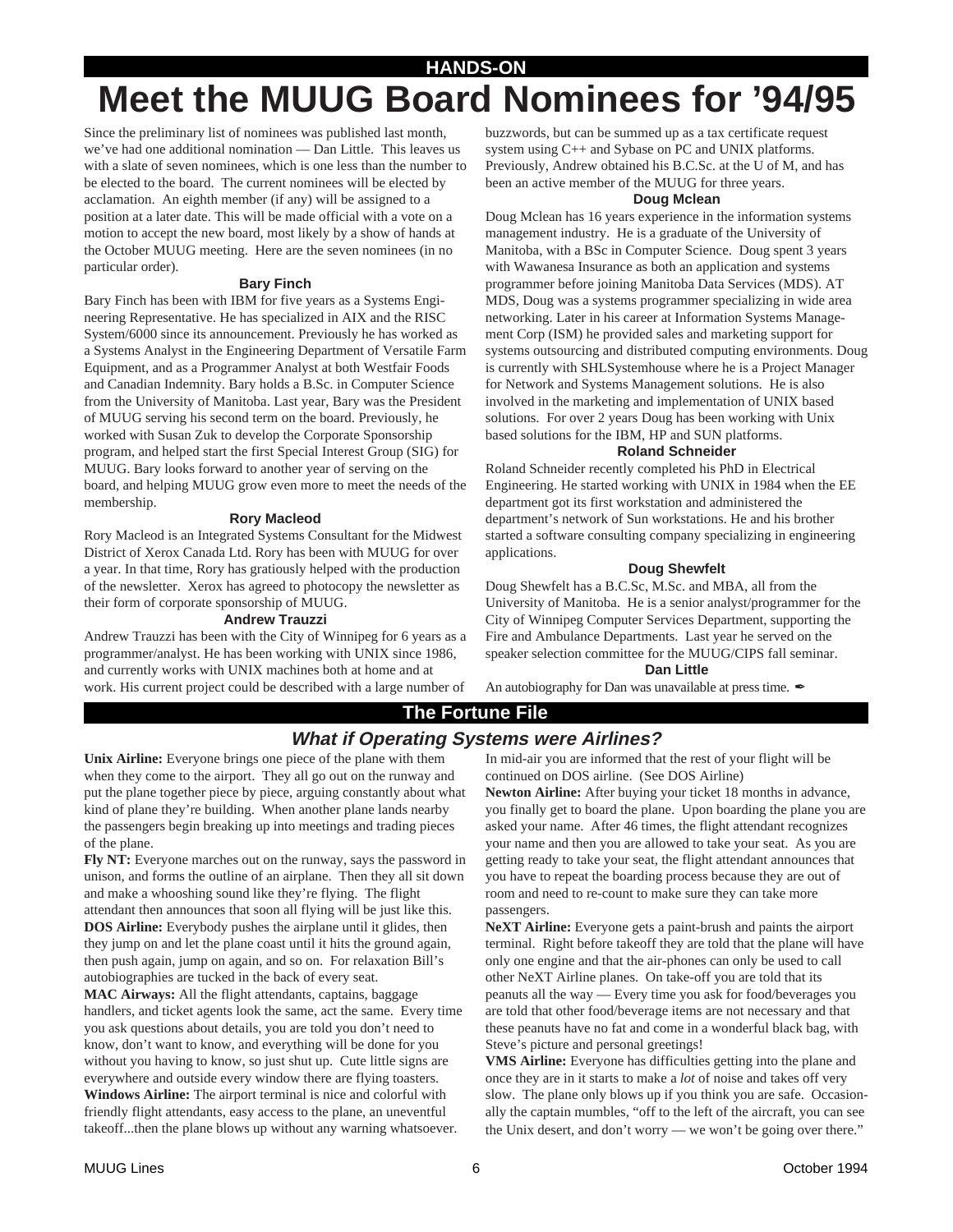## **HANDS-ON Meet the MUUG Board Nominees for '94/95**

Since the preliminary list of nominees was published last month, we've had one additional nomination — Dan Little. This leaves us with a slate of seven nominees, which is one less than the number to be elected to the board. The current nominees will be elected by acclamation. An eighth member (if any) will be assigned to a position at a later date. This will be made official with a vote on a motion to accept the new board, most likely by a show of hands at the October MUUG meeting. Here are the seven nominees (in no particular order).

#### **Bary Finch**

Bary Finch has been with IBM for five years as a Systems Engineering Representative. He has specialized in AIX and the RISC System/6000 since its announcement. Previously he has worked as a Systems Analyst in the Engineering Department of Versatile Farm Equipment, and as a Programmer Analyst at both Westfair Foods and Canadian Indemnity. Bary holds a B.Sc. in Computer Science from the University of Manitoba. Last year, Bary was the President of MUUG serving his second term on the board. Previously, he worked with Susan Zuk to develop the Corporate Sponsorship program, and helped start the first Special Interest Group (SIG) for MUUG. Bary looks forward to another year of serving on the board, and helping MUUG grow even more to meet the needs of the membership.

#### **Rory Macleod**

Rory Macleod is an Integrated Systems Consultant for the Midwest District of Xerox Canada Ltd. Rory has been with MUUG for over a year. In that time, Rory has gratiously helped with the production of the newsletter. Xerox has agreed to photocopy the newsletter as their form of corporate sponsorship of MUUG.

#### **Andrew Trauzzi**

Andrew Trauzzi has been with the City of Winnipeg for 6 years as a programmer/analyst. He has been working with UNIX since 1986, and currently works with UNIX machines both at home and at work. His current project could be described with a large number of

buzzwords, but can be summed up as a tax certificate request system using C++ and Sybase on PC and UNIX platforms. Previously, Andrew obtained his B.C.Sc. at the U of M, and has been an active member of the MUUG for three years.

#### **Doug Mclean**

Doug Mclean has 16 years experience in the information systems management industry. He is a graduate of the University of Manitoba, with a BSc in Computer Science. Doug spent 3 years with Wawanesa Insurance as both an application and systems programmer before joining Manitoba Data Services (MDS). AT MDS, Doug was a systems programmer specializing in wide area networking. Later in his career at Information Systems Management Corp (ISM) he provided sales and marketing support for systems outsourcing and distributed computing environments. Doug is currently with SHLSystemhouse where he is a Project Manager for Network and Systems Management solutions. He is also involved in the marketing and implementation of UNIX based solutions. For over 2 years Doug has been working with Unix based solutions for the IBM, HP and SUN platforms.

#### **Roland Schneider**

Roland Schneider recently completed his PhD in Electrical Engineering. He started working with UNIX in 1984 when the EE department got its first workstation and administered the department's network of Sun workstations. He and his brother started a software consulting company specializing in engineering applications.

#### **Doug Shewfelt**

Doug Shewfelt has a B.C.Sc, M.Sc. and MBA, all from the University of Manitoba. He is a senior analyst/programmer for the City of Winnipeg Computer Services Department, supporting the Fire and Ambulance Departments. Last year he served on the speaker selection committee for the MUUG/CIPS fall seminar.

#### **Dan Little**

An autobiography for Dan was unavailable at press time.

### **The Fortune File**

## **What if Operating Systems were Airlines?**

**Unix Airline:** Everyone brings one piece of the plane with them when they come to the airport. They all go out on the runway and put the plane together piece by piece, arguing constantly about what kind of plane they're building. When another plane lands nearby the passengers begin breaking up into meetings and trading pieces of the plane.

**Fly NT:** Everyone marches out on the runway, says the password in unison, and forms the outline of an airplane. Then they all sit down and make a whooshing sound like they're flying. The flight attendant then announces that soon all flying will be just like this. **DOS Airline:** Everybody pushes the airplane until it glides, then they jump on and let the plane coast until it hits the ground again, then push again, jump on again, and so on. For relaxation Bill's autobiographies are tucked in the back of every seat.

**MAC Airways:** All the flight attendants, captains, baggage handlers, and ticket agents look the same, act the same. Every time you ask questions about details, you are told you don't need to know, don't want to know, and everything will be done for you without you having to know, so just shut up. Cute little signs are everywhere and outside every window there are flying toasters. **Windows Airline:** The airport terminal is nice and colorful with friendly flight attendants, easy access to the plane, an uneventful takeoff...then the plane blows up without any warning whatsoever.

In mid-air you are informed that the rest of your flight will be continued on DOS airline. (See DOS Airline)

**Newton Airline:** After buying your ticket 18 months in advance, you finally get to board the plane. Upon boarding the plane you are asked your name. After 46 times, the flight attendant recognizes your name and then you are allowed to take your seat. As you are getting ready to take your seat, the flight attendant announces that you have to repeat the boarding process because they are out of room and need to re-count to make sure they can take more passengers.

**NeXT Airline:** Everyone gets a paint-brush and paints the airport terminal. Right before takeoff they are told that the plane will have only one engine and that the air-phones can only be used to call other NeXT Airline planes. On take-off you are told that its peanuts all the way — Every time you ask for food/beverages you are told that other food/beverage items are not necessary and that these peanuts have no fat and come in a wonderful black bag, with Steve's picture and personal greetings!

**VMS Airline:** Everyone has difficulties getting into the plane and once they are in it starts to make a *lot* of noise and takes off very slow. The plane only blows up if you think you are safe. Occasionally the captain mumbles, "off to the left of the aircraft, you can see the Unix desert, and don't worry — we won't be going over there."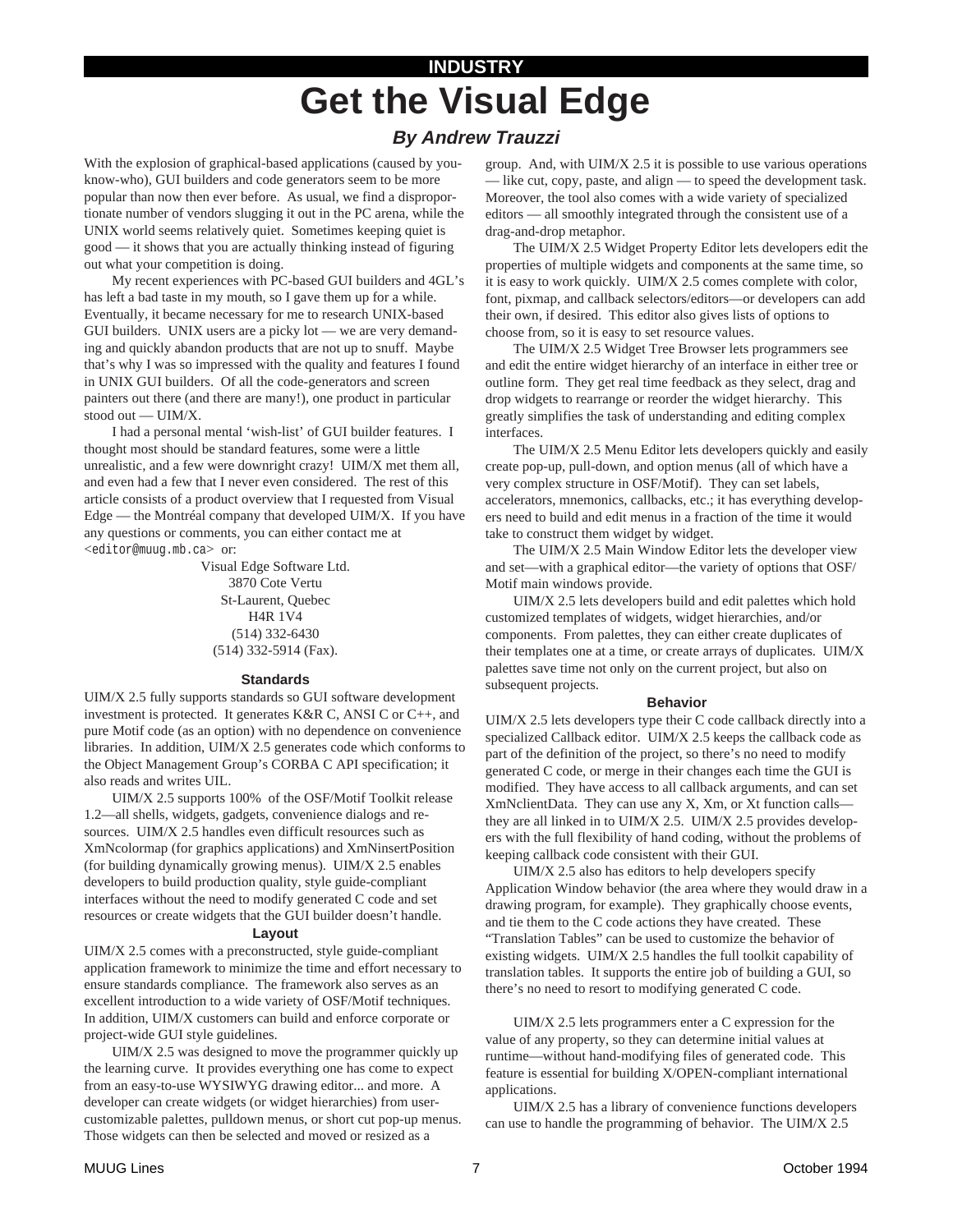## **INDUSTRY Get the Visual Edge**

## **By Andrew Trauzzi**

With the explosion of graphical-based applications (caused by youknow-who), GUI builders and code generators seem to be more popular than now then ever before. As usual, we find a disproportionate number of vendors slugging it out in the PC arena, while the UNIX world seems relatively quiet. Sometimes keeping quiet is good — it shows that you are actually thinking instead of figuring out what your competition is doing.

My recent experiences with PC-based GUI builders and 4GL's has left a bad taste in my mouth, so I gave them up for a while. Eventually, it became necessary for me to research UNIX-based GUI builders. UNIX users are a picky lot — we are very demanding and quickly abandon products that are not up to snuff. Maybe that's why I was so impressed with the quality and features I found in UNIX GUI builders. Of all the code-generators and screen painters out there (and there are many!), one product in particular stood out — UIM/X.

I had a personal mental 'wish-list' of GUI builder features. I thought most should be standard features, some were a little unrealistic, and a few were downright crazy! UIM/X met them all, and even had a few that I never even considered. The rest of this article consists of a product overview that I requested from Visual Edge — the Montréal company that developed UIM/X. If you have any questions or comments, you can either contact me at <editor@muug.mb.ca> or:

> Visual Edge Software Ltd. 3870 Cote Vertu St-Laurent, Quebec H4R 1V4 (514) 332-6430 (514) 332-5914 (Fax).

#### **Standards**

UIM/X 2.5 fully supports standards so GUI software development investment is protected. It generates K&R C, ANSI C or C++, and pure Motif code (as an option) with no dependence on convenience libraries. In addition, UIM/X 2.5 generates code which conforms to the Object Management Group's CORBA C API specification; it also reads and writes UIL.

UIM/X 2.5 supports 100% of the OSF/Motif Toolkit release 1.2—all shells, widgets, gadgets, convenience dialogs and resources. UIM/X 2.5 handles even difficult resources such as XmNcolormap (for graphics applications) and XmNinsertPosition (for building dynamically growing menus). UIM/X 2.5 enables developers to build production quality, style guide-compliant interfaces without the need to modify generated C code and set resources or create widgets that the GUI builder doesn't handle.

#### **Layout**

UIM/X 2.5 comes with a preconstructed, style guide-compliant application framework to minimize the time and effort necessary to ensure standards compliance. The framework also serves as an excellent introduction to a wide variety of OSF/Motif techniques. In addition, UIM/X customers can build and enforce corporate or project-wide GUI style guidelines.

UIM/X 2.5 was designed to move the programmer quickly up the learning curve. It provides everything one has come to expect from an easy-to-use WYSIWYG drawing editor... and more. A developer can create widgets (or widget hierarchies) from usercustomizable palettes, pulldown menus, or short cut pop-up menus. Those widgets can then be selected and moved or resized as a

group. And, with UIM/X 2.5 it is possible to use various operations - like cut, copy, paste, and align - to speed the development task. Moreover, the tool also comes with a wide variety of specialized editors — all smoothly integrated through the consistent use of a drag-and-drop metaphor.

The UIM/X 2.5 Widget Property Editor lets developers edit the properties of multiple widgets and components at the same time, so it is easy to work quickly. UIM/X 2.5 comes complete with color, font, pixmap, and callback selectors/editors—or developers can add their own, if desired. This editor also gives lists of options to choose from, so it is easy to set resource values.

The UIM/X 2.5 Widget Tree Browser lets programmers see and edit the entire widget hierarchy of an interface in either tree or outline form. They get real time feedback as they select, drag and drop widgets to rearrange or reorder the widget hierarchy. This greatly simplifies the task of understanding and editing complex interfaces.

The UIM/X 2.5 Menu Editor lets developers quickly and easily create pop-up, pull-down, and option menus (all of which have a very complex structure in OSF/Motif). They can set labels, accelerators, mnemonics, callbacks, etc.; it has everything developers need to build and edit menus in a fraction of the time it would take to construct them widget by widget.

The UIM/X 2.5 Main Window Editor lets the developer view and set—with a graphical editor—the variety of options that OSF/ Motif main windows provide.

UIM/X 2.5 lets developers build and edit palettes which hold customized templates of widgets, widget hierarchies, and/or components. From palettes, they can either create duplicates of their templates one at a time, or create arrays of duplicates. UIM/X palettes save time not only on the current project, but also on subsequent projects.

#### **Behavior**

UIM/X 2.5 lets developers type their C code callback directly into a specialized Callback editor. UIM/X 2.5 keeps the callback code as part of the definition of the project, so there's no need to modify generated C code, or merge in their changes each time the GUI is modified. They have access to all callback arguments, and can set XmNclientData. They can use any X, Xm, or Xt function calls they are all linked in to UIM/X 2.5. UIM/X 2.5 provides developers with the full flexibility of hand coding, without the problems of keeping callback code consistent with their GUI.

UIM/X 2.5 also has editors to help developers specify Application Window behavior (the area where they would draw in a drawing program, for example). They graphically choose events, and tie them to the C code actions they have created. These "Translation Tables" can be used to customize the behavior of existing widgets. UIM/X 2.5 handles the full toolkit capability of translation tables. It supports the entire job of building a GUI, so there's no need to resort to modifying generated C code.

UIM/X 2.5 lets programmers enter a C expression for the value of any property, so they can determine initial values at runtime—without hand-modifying files of generated code. This feature is essential for building X/OPEN-compliant international applications.

UIM/X 2.5 has a library of convenience functions developers can use to handle the programming of behavior. The UIM/X 2.5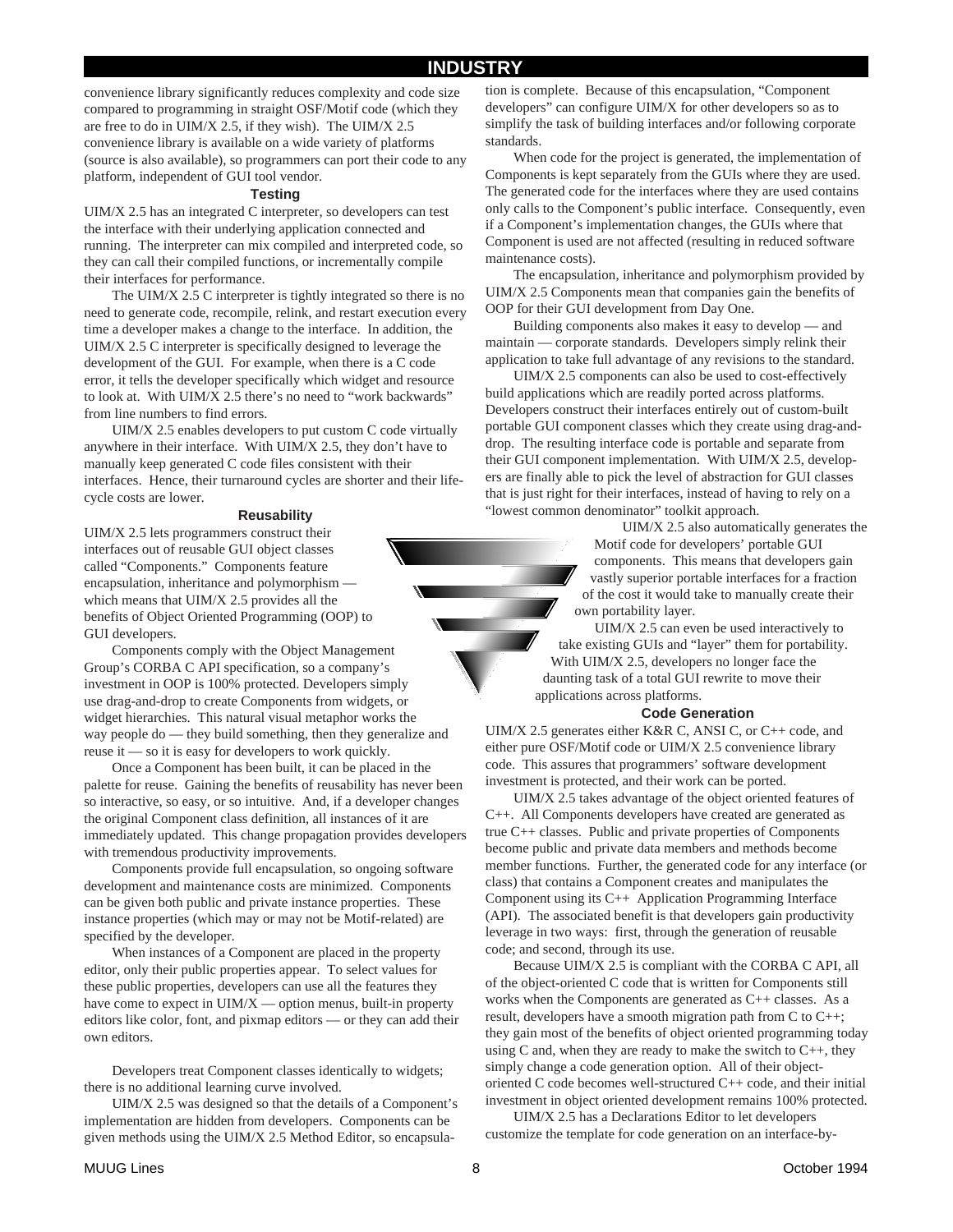## **INDUSTRY**

convenience library significantly reduces complexity and code size compared to programming in straight OSF/Motif code (which they are free to do in UIM/X 2.5, if they wish). The UIM/X 2.5 convenience library is available on a wide variety of platforms (source is also available), so programmers can port their code to any platform, independent of GUI tool vendor.

#### **Testing**

UIM/X 2.5 has an integrated C interpreter, so developers can test the interface with their underlying application connected and running. The interpreter can mix compiled and interpreted code, so they can call their compiled functions, or incrementally compile their interfaces for performance.

The UIM/X 2.5 C interpreter is tightly integrated so there is no need to generate code, recompile, relink, and restart execution every time a developer makes a change to the interface. In addition, the UIM/X 2.5 C interpreter is specifically designed to leverage the development of the GUI. For example, when there is a C code error, it tells the developer specifically which widget and resource to look at. With UIM/X 2.5 there's no need to "work backwards" from line numbers to find errors.

UIM/X 2.5 enables developers to put custom C code virtually anywhere in their interface. With UIM/X 2.5, they don't have to manually keep generated C code files consistent with their interfaces. Hence, their turnaround cycles are shorter and their lifecycle costs are lower.

#### **Reusability**

UIM/X 2.5 lets programmers construct their interfaces out of reusable GUI object classes called "Components." Components feature encapsulation, inheritance and polymorphism which means that UIM/X 2.5 provides all the benefits of Object Oriented Programming (OOP) to GUI developers.

Components comply with the Object Management Group's CORBA C API specification, so a company's investment in OOP is 100% protected. Developers simply use drag-and-drop to create Components from widgets, or widget hierarchies. This natural visual metaphor works the way people do — they build something, then they generalize and reuse it — so it is easy for developers to work quickly.

Once a Component has been built, it can be placed in the palette for reuse. Gaining the benefits of reusability has never been so interactive, so easy, or so intuitive. And, if a developer changes the original Component class definition, all instances of it are immediately updated. This change propagation provides developers with tremendous productivity improvements.

Components provide full encapsulation, so ongoing software development and maintenance costs are minimized. Components can be given both public and private instance properties. These instance properties (which may or may not be Motif-related) are specified by the developer.

When instances of a Component are placed in the property editor, only their public properties appear. To select values for these public properties, developers can use all the features they have come to expect in UIM/X — option menus, built-in property editors like color, font, and pixmap editors — or they can add their own editors.

Developers treat Component classes identically to widgets; there is no additional learning curve involved.

UIM/X 2.5 was designed so that the details of a Component's implementation are hidden from developers. Components can be given methods using the UIM/X 2.5 Method Editor, so encapsulation is complete. Because of this encapsulation, "Component developers" can configure UIM/X for other developers so as to simplify the task of building interfaces and/or following corporate standards.

When code for the project is generated, the implementation of Components is kept separately from the GUIs where they are used. The generated code for the interfaces where they are used contains only calls to the Component's public interface. Consequently, even if a Component's implementation changes, the GUIs where that Component is used are not affected (resulting in reduced software maintenance costs).

The encapsulation, inheritance and polymorphism provided by UIM/X 2.5 Components mean that companies gain the benefits of OOP for their GUI development from Day One.

Building components also makes it easy to develop — and maintain — corporate standards. Developers simply relink their application to take full advantage of any revisions to the standard.

UIM/X 2.5 components can also be used to cost-effectively build applications which are readily ported across platforms. Developers construct their interfaces entirely out of custom-built portable GUI component classes which they create using drag-anddrop. The resulting interface code is portable and separate from their GUI component implementation. With UIM/X 2.5, developers are finally able to pick the level of abstraction for GUI classes that is just right for their interfaces, instead of having to rely on a "lowest common denominator" toolkit approach.

> UIM/X 2.5 also automatically generates the Motif code for developers' portable GUI components. This means that developers gain vastly superior portable interfaces for a fraction of the cost it would take to manually create their own portability layer.

UIM/X 2.5 can even be used interactively to take existing GUIs and "layer" them for portability. With UIM/X 2.5, developers no longer face the daunting task of a total GUI rewrite to move their applications across platforms.

#### **Code Generation**

UIM/X 2.5 generates either K&R C, ANSI C, or C++ code, and either pure OSF/Motif code or UIM/X 2.5 convenience library code. This assures that programmers' software development investment is protected, and their work can be ported.

UIM/X 2.5 takes advantage of the object oriented features of C++. All Components developers have created are generated as true C++ classes. Public and private properties of Components become public and private data members and methods become member functions. Further, the generated code for any interface (or class) that contains a Component creates and manipulates the Component using its C++ Application Programming Interface (API). The associated benefit is that developers gain productivity leverage in two ways: first, through the generation of reusable code; and second, through its use.

Because UIM/X 2.5 is compliant with the CORBA C API, all of the object-oriented C code that is written for Components still works when the Components are generated as C++ classes. As a result, developers have a smooth migration path from C to C++; they gain most of the benefits of object oriented programming today using C and, when they are ready to make the switch to  $C_{++}$ , they simply change a code generation option. All of their objectoriented C code becomes well-structured C++ code, and their initial investment in object oriented development remains 100% protected.

UIM/X 2.5 has a Declarations Editor to let developers customize the template for code generation on an interface-by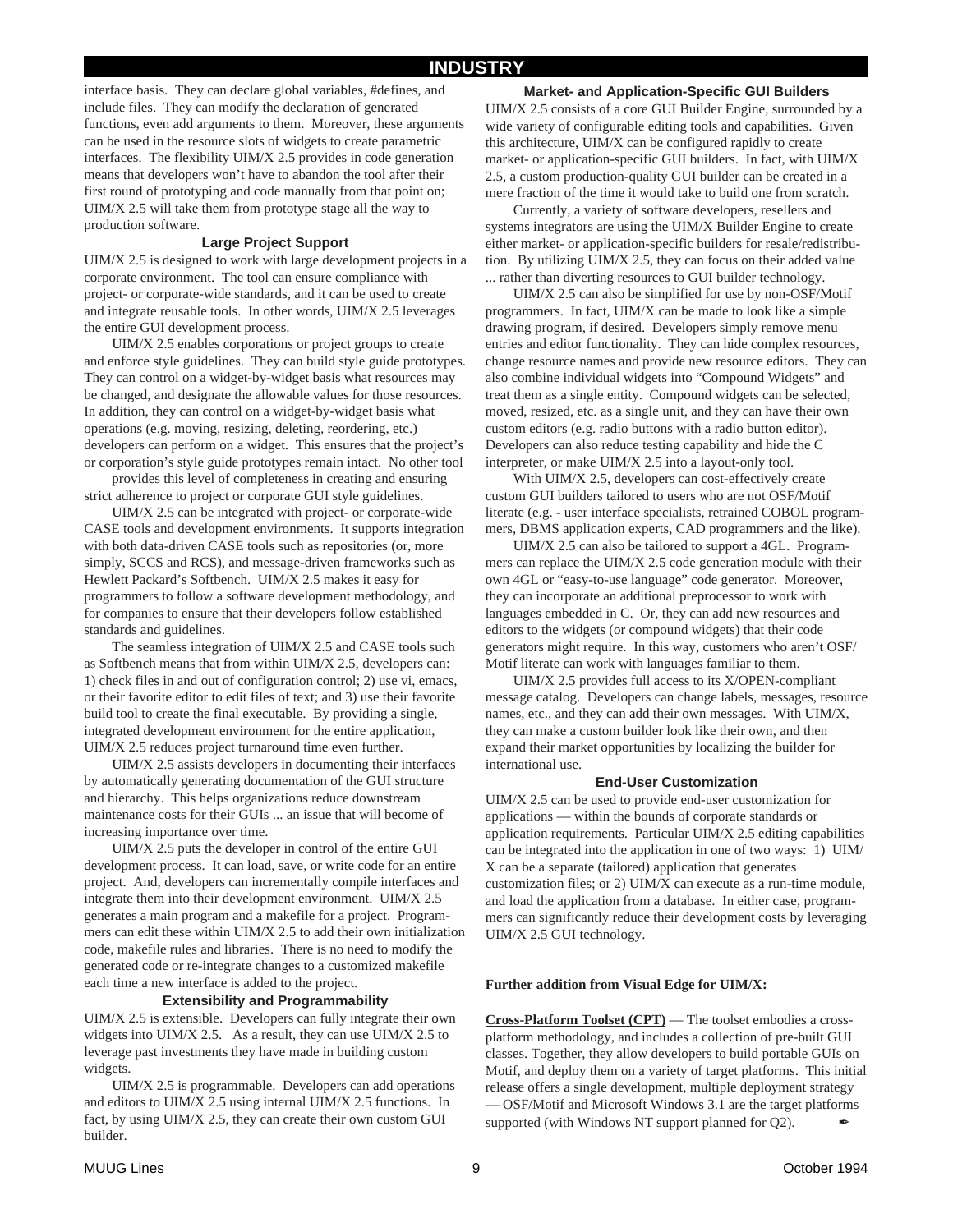interface basis. They can declare global variables, #defines, and include files. They can modify the declaration of generated functions, even add arguments to them. Moreover, these arguments can be used in the resource slots of widgets to create parametric interfaces. The flexibility UIM/X 2.5 provides in code generation means that developers won't have to abandon the tool after their first round of prototyping and code manually from that point on; UIM/X 2.5 will take them from prototype stage all the way to production software.

#### **Large Project Support**

UIM/X 2.5 is designed to work with large development projects in a corporate environment. The tool can ensure compliance with project- or corporate-wide standards, and it can be used to create and integrate reusable tools. In other words, UIM/X 2.5 leverages the entire GUI development process.

UIM/X 2.5 enables corporations or project groups to create and enforce style guidelines. They can build style guide prototypes. They can control on a widget-by-widget basis what resources may be changed, and designate the allowable values for those resources. In addition, they can control on a widget-by-widget basis what operations (e.g. moving, resizing, deleting, reordering, etc.) developers can perform on a widget. This ensures that the project's or corporation's style guide prototypes remain intact. No other tool

provides this level of completeness in creating and ensuring strict adherence to project or corporate GUI style guidelines.

UIM/X 2.5 can be integrated with project- or corporate-wide CASE tools and development environments. It supports integration with both data-driven CASE tools such as repositories (or, more simply, SCCS and RCS), and message-driven frameworks such as Hewlett Packard's Softbench. UIM/X 2.5 makes it easy for programmers to follow a software development methodology, and for companies to ensure that their developers follow established standards and guidelines.

The seamless integration of UIM/X 2.5 and CASE tools such as Softbench means that from within UIM/X 2.5, developers can: 1) check files in and out of configuration control; 2) use vi, emacs, or their favorite editor to edit files of text; and 3) use their favorite build tool to create the final executable. By providing a single, integrated development environment for the entire application, UIM/X 2.5 reduces project turnaround time even further.

UIM/X 2.5 assists developers in documenting their interfaces by automatically generating documentation of the GUI structure and hierarchy. This helps organizations reduce downstream maintenance costs for their GUIs ... an issue that will become of increasing importance over time.

UIM/X 2.5 puts the developer in control of the entire GUI development process. It can load, save, or write code for an entire project. And, developers can incrementally compile interfaces and integrate them into their development environment. UIM/X 2.5 generates a main program and a makefile for a project. Programmers can edit these within UIM/X 2.5 to add their own initialization code, makefile rules and libraries. There is no need to modify the generated code or re-integrate changes to a customized makefile each time a new interface is added to the project.

#### **Extensibility and Programmability**

UIM/X 2.5 is extensible. Developers can fully integrate their own widgets into UIM/X 2.5. As a result, they can use UIM/X 2.5 to leverage past investments they have made in building custom widgets.

UIM/X 2.5 is programmable. Developers can add operations and editors to UIM/X 2.5 using internal UIM/X 2.5 functions. In fact, by using UIM/X 2.5, they can create their own custom GUI builder.

**Market- and Application-Specific GUI Builders** UIM/X 2.5 consists of a core GUI Builder Engine, surrounded by a wide variety of configurable editing tools and capabilities. Given this architecture, UIM/X can be configured rapidly to create market- or application-specific GUI builders. In fact, with UIM/X 2.5, a custom production-quality GUI builder can be created in a mere fraction of the time it would take to build one from scratch.

Currently, a variety of software developers, resellers and systems integrators are using the UIM/X Builder Engine to create either market- or application-specific builders for resale/redistribution. By utilizing UIM/X 2.5, they can focus on their added value ... rather than diverting resources to GUI builder technology.

UIM/X 2.5 can also be simplified for use by non-OSF/Motif programmers. In fact, UIM/X can be made to look like a simple drawing program, if desired. Developers simply remove menu entries and editor functionality. They can hide complex resources, change resource names and provide new resource editors. They can also combine individual widgets into "Compound Widgets" and treat them as a single entity. Compound widgets can be selected, moved, resized, etc. as a single unit, and they can have their own custom editors (e.g. radio buttons with a radio button editor). Developers can also reduce testing capability and hide the C interpreter, or make UIM/X 2.5 into a layout-only tool.

With UIM/X 2.5, developers can cost-effectively create custom GUI builders tailored to users who are not OSF/Motif literate (e.g. - user interface specialists, retrained COBOL programmers, DBMS application experts, CAD programmers and the like).

UIM/X 2.5 can also be tailored to support a 4GL. Programmers can replace the UIM/X 2.5 code generation module with their own 4GL or "easy-to-use language" code generator. Moreover, they can incorporate an additional preprocessor to work with languages embedded in C. Or, they can add new resources and editors to the widgets (or compound widgets) that their code generators might require. In this way, customers who aren't OSF/ Motif literate can work with languages familiar to them.

UIM/X 2.5 provides full access to its X/OPEN-compliant message catalog. Developers can change labels, messages, resource names, etc., and they can add their own messages. With UIM/X, they can make a custom builder look like their own, and then expand their market opportunities by localizing the builder for international use.

#### **End-User Customization**

UIM/X 2.5 can be used to provide end-user customization for applications — within the bounds of corporate standards or application requirements. Particular UIM/X 2.5 editing capabilities can be integrated into the application in one of two ways: 1) UIM/ X can be a separate (tailored) application that generates customization files; or 2) UIM/X can execute as a run-time module, and load the application from a database. In either case, programmers can significantly reduce their development costs by leveraging UIM/X 2.5 GUI technology.

#### **Further addition from Visual Edge for UIM/X:**

**Cross-Platform Toolset (CPT)** — The toolset embodies a crossplatform methodology, and includes a collection of pre-built GUI classes. Together, they allow developers to build portable GUIs on Motif, and deploy them on a variety of target platforms. This initial release offers a single development, multiple deployment strategy — OSF/Motif and Microsoft Windows 3.1 are the target platforms supported (with Windows NT support planned for Q2).